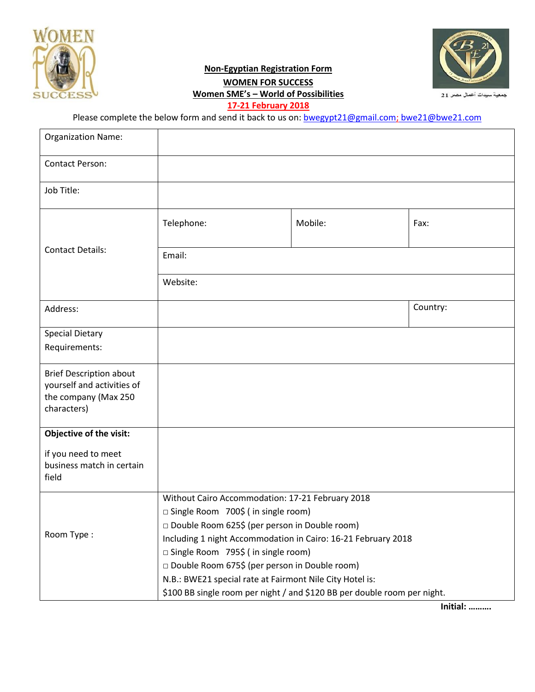

# **Non-Egyptian Registration Form WOMEN FOR SUCCESS Women SME's – World of Possibilities**



جمعية سيدات أعمال مصر 21

**17-21 February 2018**

Please complete the below form and send it back to us on: **[bwegypt21@gmail.com;](mailto:bwegypt21@gmail.com)** bwe21@bwe21.com

| <b>Organization Name:</b>      |                                                                          |         |          |  |  |  |
|--------------------------------|--------------------------------------------------------------------------|---------|----------|--|--|--|
| <b>Contact Person:</b>         |                                                                          |         |          |  |  |  |
| Job Title:                     |                                                                          |         |          |  |  |  |
|                                | Telephone:                                                               | Mobile: | Fax:     |  |  |  |
| <b>Contact Details:</b>        | Email:                                                                   |         |          |  |  |  |
|                                | Website:                                                                 |         |          |  |  |  |
| Address:                       |                                                                          |         | Country: |  |  |  |
| <b>Special Dietary</b>         |                                                                          |         |          |  |  |  |
| Requirements:                  |                                                                          |         |          |  |  |  |
| <b>Brief Description about</b> |                                                                          |         |          |  |  |  |
| yourself and activities of     |                                                                          |         |          |  |  |  |
| the company (Max 250           |                                                                          |         |          |  |  |  |
| characters)                    |                                                                          |         |          |  |  |  |
| Objective of the visit:        |                                                                          |         |          |  |  |  |
| if you need to meet            |                                                                          |         |          |  |  |  |
| business match in certain      |                                                                          |         |          |  |  |  |
| field                          |                                                                          |         |          |  |  |  |
|                                | Without Cairo Accommodation: 17-21 February 2018                         |         |          |  |  |  |
| Room Type:                     | □ Single Room 700\$ (in single room)                                     |         |          |  |  |  |
|                                | □ Double Room 625\$ (per person in Double room)                          |         |          |  |  |  |
|                                | Including 1 night Accommodation in Cairo: 16-21 February 2018            |         |          |  |  |  |
|                                | □ Single Room 795\$ (in single room)                                     |         |          |  |  |  |
|                                | □ Double Room 675\$ (per person in Double room)                          |         |          |  |  |  |
|                                | N.B.: BWE21 special rate at Fairmont Nile City Hotel is:                 |         |          |  |  |  |
|                                | \$100 BB single room per night / and \$120 BB per double room per night. |         |          |  |  |  |

**Initial: ……….**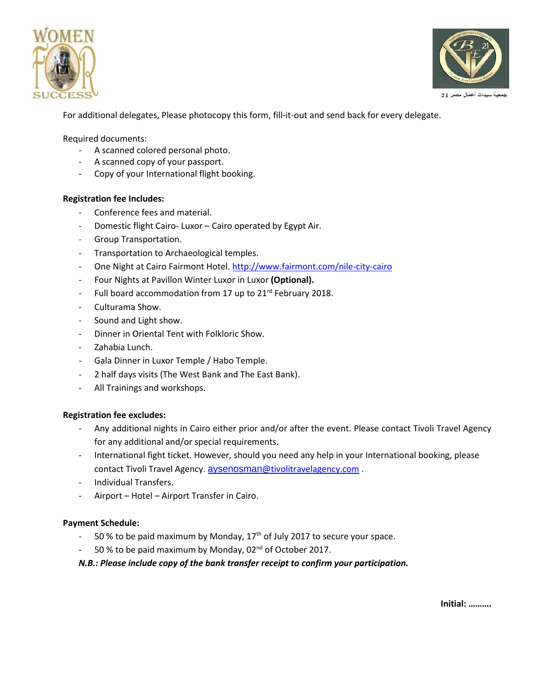



For additional delegates, Please photocopy this form, fill-it-out and send back for every delegate.

Required documents:

- A scanned colored personal photo.
- A scanned copy of your passport.
- Copy of your International flight booking.

### **Registration fee Includes:**

- Conference fees and material.
- Domestic flight Cairo- Luxor Cairo operated by Egypt Air.
- Group Transportation.
- Transportation to Archaeological temples.
- One Night at Cairo Fairmont Hotel. <http://www.fairmont.com/nile-city-cairo>
- Four Nights at Pavillon Winter Luxor in Luxor **(Optional).**
- Full board accommodation from 17 up to 21<sup>rd</sup> February 2018.
- Culturama Show.
- Sound and Light show.
- Dinner in Oriental Tent with Folkloric Show.
- Zahabia Lunch.
- Gala Dinner in Luxor Temple / Habo Temple.
- 2 half days visits (The West Bank and The East Bank).
- All Trainings and workshops.

#### **Registration fee excludes:**

- Any additional nights in Cairo either prior and/or after the event. Please contact Tivoli Travel Agency for any additional and/or special requirements.
- International fight ticket. However, should you need any help in your International booking, please contact Tivoli Travel Agency. aysenosman[@tivolitravelagency.com](mailto:aysenosman@tivolitravelagency.com).
- Individual Transfers.
- Airport Hotel Airport Transfer in Cairo.

#### **Payment Schedule:**

- 50 % to be paid maximum by Monday,  $17<sup>th</sup>$  of July 2017 to secure your space.
- $-$  50% to be paid maximum by Monday, 02<sup>nd</sup> of October 2017.

*N.B.: Please include copy of the bank transfer receipt to confirm your participation.*